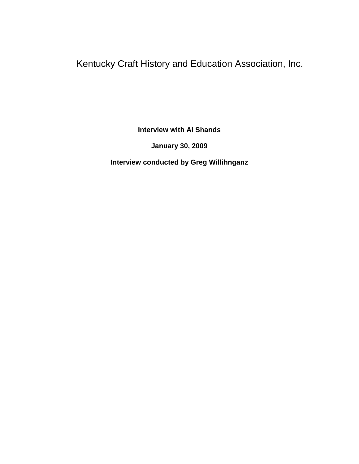Kentucky Craft History and Education Association, Inc.

**Interview with Al Shands**

**January 30, 2009**

**Interview conducted by Greg Willihnganz**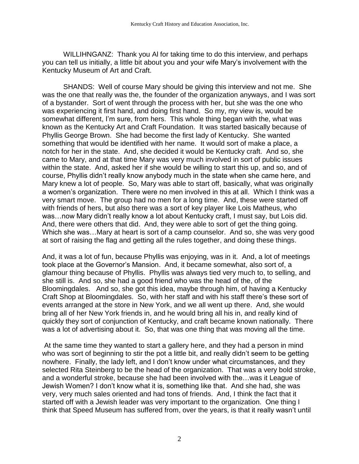WILLIHNGANZ: Thank you Al for taking time to do this interview, and perhaps you can tell us initially, a little bit about you and your wife Mary's involvement with the Kentucky Museum of Art and Craft.

SHANDS: Well of course Mary should be giving this interview and not me. She was the one that really was the, the founder of the organization anyways, and I was sort of a bystander. Sort of went through the process with her, but she was the one who was experiencing it first hand, and doing first hand. So my, my view is, would be somewhat different, I'm sure, from hers. This whole thing began with the, what was known as the Kentucky Art and Craft Foundation. It was started basically because of Phyllis George Brown. She had become the first lady of Kentucky. She wanted something that would be identified with her name. It would sort of make a place, a notch for her in the state. And, she decided it would be Kentucky craft. And so, she came to Mary, and at that time Mary was very much involved in sort of public issues within the state. And, asked her if she would be willing to start this up, and so, and of course, Phyllis didn't really know anybody much in the state when she came here, and Mary knew a lot of people. So, Mary was able to start off, basically, what was originally a women's organization. There were no men involved in this at all. Which I think was a very smart move. The group had no men for a long time. And, these were started off with friends of hers, but also there was a sort of key player like Lois Matheus, who was…now Mary didn't really know a lot about Kentucky craft, I must say, but Lois did. And, there were others that did. And, they were able to sort of get the thing going. Which she was…Mary at heart is sort of a camp counselor. And so, she was very good at sort of raising the flag and getting all the rules together, and doing these things.

And, it was a lot of fun, because Phyllis was enjoying, was in it. And, a lot of meetings took place at the Governor's Mansion. And, it became somewhat, also sort of, a glamour thing because of Phyllis. Phyllis was always tied very much to, to selling, and she still is. And so, she had a good friend who was the head of the, of the Bloomingdales. And so, she got this idea, maybe through him, of having a Kentucky Craft Shop at Bloomingdales. So, with her staff and with his staff there's these sort of events arranged at the store in New York, and we all went up there. And, she would bring all of her New York friends in, and he would bring all his in, and really kind of quickly they sort of conjunction of Kentucky, and craft became known nationally. There was a lot of advertising about it. So, that was one thing that was moving all the time.

At the same time they wanted to start a gallery here, and they had a person in mind who was sort of beginning to stir the pot a little bit, and really didn't seem to be getting nowhere. Finally, the lady left, and I don't know under what circumstances, and they selected Rita Steinberg to be the head of the organization. That was a very bold stroke, and a wonderful stroke, because she had been involved with the…was it League of Jewish Women? I don't know what it is, something like that. And she had, she was very, very much sales oriented and had tons of friends. And, I think the fact that it started off with a Jewish leader was very important to the organization. One thing I think that Speed Museum has suffered from, over the years, is that it really wasn't until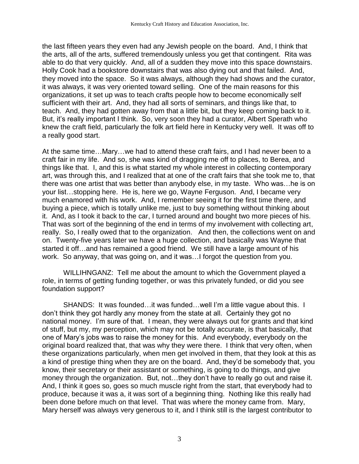the last fifteen years they even had any Jewish people on the board. And, I think that the arts, all of the arts, suffered tremendously unless you get that contingent. Rita was able to do that very quickly. And, all of a sudden they move into this space downstairs. Holly Cook had a bookstore downstairs that was also dying out and that failed. And, they moved into the space. So it was always, although they had shows and the curator, it was always, it was very oriented toward selling. One of the main reasons for this organizations, it set up was to teach crafts people how to become economically self sufficient with their art. And, they had all sorts of seminars, and things like that, to teach. And, they had gotten away from that a little bit, but they keep coming back to it. But, it's really important I think. So, very soon they had a curator, Albert Sperath who knew the craft field, particularly the folk art field here in Kentucky very well. It was off to a really good start.

At the same time…Mary…we had to attend these craft fairs, and I had never been to a craft fair in my life. And so, she was kind of dragging me off to places, to Berea, and things like that. I, and this is what started my whole interest in collecting contemporary art, was through this, and I realized that at one of the craft fairs that she took me to, that there was one artist that was better than anybody else, in my taste. Who was…he is on your list…stopping here. He is, here we go, Wayne Ferguson. And, I became very much enamored with his work. And, I remember seeing it for the first time there, and buying a piece, which is totally unlike me, just to buy something without thinking about it. And, as I took it back to the car, I turned around and bought two more pieces of his. That was sort of the beginning of the end in terms of my involvement with collecting art, really. So, I really owed that to the organization. And then, the collections went on and on. Twenty-five years later we have a huge collection, and basically was Wayne that started it off…and has remained a good friend. We still have a large amount of his work. So anyway, that was going on, and it was…I forgot the question from you.

WILLIHNGANZ: Tell me about the amount to which the Government played a role, in terms of getting funding together, or was this privately funded, or did you see foundation support?

SHANDS: It was founded…it was funded…well I'm a little vague about this. I don't think they got hardly any money from the state at all. Certainly they got no national money. I'm sure of that. I mean, they were always out for grants and that kind of stuff, but my, my perception, which may not be totally accurate, is that basically, that one of Mary's jobs was to raise the money for this. And everybody, everybody on the original board realized that, that was why they were there. I think that very often, when these organizations particularly, when men get involved in them, that they look at this as a kind of prestige thing when they are on the board. And, they'd be somebody that, you know, their secretary or their assistant or something, is going to do things, and give money through the organization. But, not…they don't have to really go out and raise it. And, I think it goes so, goes so much muscle right from the start, that everybody had to produce, because it was a, it was sort of a beginning thing. Nothing like this really had been done before much on that level. That was where the money came from. Mary, Mary herself was always very generous to it, and I think still is the largest contributor to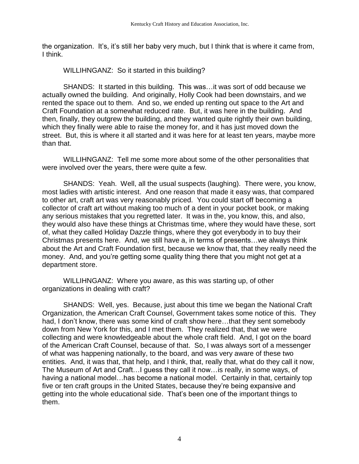the organization. It's, it's still her baby very much, but I think that is where it came from, I think.

WILLIHNGANZ: So it started in this building?

SHANDS: It started in this building. This was…it was sort of odd because we actually owned the building. And originally, Holly Cook had been downstairs, and we rented the space out to them. And so, we ended up renting out space to the Art and Craft Foundation at a somewhat reduced rate. But, it was here in the building. And then, finally, they outgrew the building, and they wanted quite rightly their own building, which they finally were able to raise the money for, and it has just moved down the street. But, this is where it all started and it was here for at least ten years, maybe more than that.

WILLIHNGANZ: Tell me some more about some of the other personalities that were involved over the years, there were quite a few.

SHANDS: Yeah. Well, all the usual suspects (laughing). There were, you know, most ladies with artistic interest. And one reason that made it easy was, that compared to other art, craft art was very reasonably priced. You could start off becoming a collector of craft art without making too much of a dent in your pocket book, or making any serious mistakes that you regretted later. It was in the, you know, this, and also, they would also have these things at Christmas time, where they would have these, sort of, what they called Holiday Dazzle things, where they got everybody in to buy their Christmas presents here. And, we still have a, in terms of presents…we always think about the Art and Craft Foundation first, because we know that, that they really need the money. And, and you're getting some quality thing there that you might not get at a department store.

WILLIHNGANZ: Where you aware, as this was starting up, of other organizations in dealing with craft?

SHANDS: Well, yes. Because, just about this time we began the National Craft Organization, the American Craft Counsel, Government takes some notice of this. They had, I don't know, there was some kind of craft show here…that they sent somebody down from New York for this, and I met them. They realized that, that we were collecting and were knowledgeable about the whole craft field. And, I got on the board of the American Craft Counsel, because of that. So, I was always sort of a messenger of what was happening nationally, to the board, and was very aware of these two entities. And, it was that, that help, and I think, that, really that, what do they call it now, The Museum of Art and Craft…I guess they call it now…is really, in some ways, of having a national model…has become a national model. Certainly in that, certainly top five or ten craft groups in the United States, because they're being expansive and getting into the whole educational side. That's been one of the important things to them.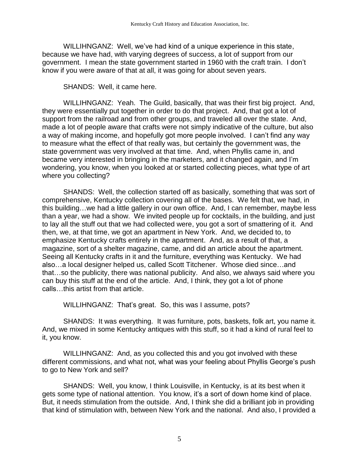WILLIHNGANZ: Well, we've had kind of a unique experience in this state, because we have had, with varying degrees of success, a lot of support from our government. I mean the state government started in 1960 with the craft train. I don't know if you were aware of that at all, it was going for about seven years.

SHANDS: Well, it came here.

WILLIHNGANZ: Yeah. The Guild, basically, that was their first big project. And, they were essentially put together in order to do that project. And, that got a lot of support from the railroad and from other groups, and traveled all over the state. And, made a lot of people aware that crafts were not simply indicative of the culture, but also a way of making income, and hopefully got more people involved. I can't find any way to measure what the effect of that really was, but certainly the government was, the state government was very involved at that time. And, when Phyllis came in, and became very interested in bringing in the marketers, and it changed again, and I'm wondering, you know, when you looked at or started collecting pieces, what type of art where you collecting?

SHANDS: Well, the collection started off as basically, something that was sort of comprehensive, Kentucky collection covering all of the bases. We felt that, we had, in this building…we had a little gallery in our own office. And, I can remember, maybe less than a year, we had a show. We invited people up for cocktails, in the building, and just to lay all the stuff out that we had collected were, you got a sort of smattering of it. And then, we, at that time, we got an apartment in New York. And, we decided to, to emphasize Kentucky crafts entirely in the apartment. And, as a result of that, a magazine, sort of a shelter magazine, came, and did an article about the apartment. Seeing all Kentucky crafts in it and the furniture, everything was Kentucky. We had also…a local designer helped us, called Scott Titchener. Whose died since…and that…so the publicity, there was national publicity. And also, we always said where you can buy this stuff at the end of the article. And, I think, they got a lot of phone calls…this artist from that article.

WILLIHNGANZ: That's great. So, this was I assume, pots?

SHANDS: It was everything. It was furniture, pots, baskets, folk art, you name it. And, we mixed in some Kentucky antiques with this stuff, so it had a kind of rural feel to it, you know.

WILLIHNGANZ: And, as you collected this and you got involved with these different commissions, and what not, what was your feeling about Phyllis George's push to go to New York and sell?

SHANDS: Well, you know, I think Louisville, in Kentucky, is at its best when it gets some type of national attention. You know, it's a sort of down home kind of place. But, it needs stimulation from the outside. And, I think she did a brilliant job in providing that kind of stimulation with, between New York and the national. And also, I provided a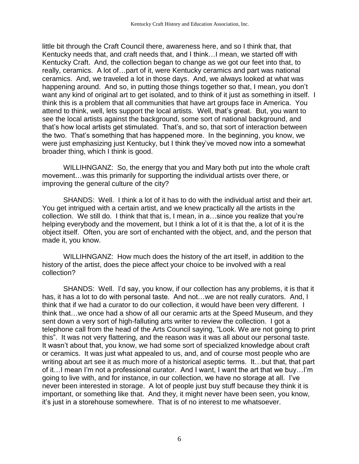little bit through the Craft Council there, awareness here, and so I think that, that Kentucky needs that, and craft needs that, and I think…I mean, we started off with Kentucky Craft. And, the collection began to change as we got our feet into that, to really, ceramics. A lot of…part of it, were Kentucky ceramics and part was national ceramics. And, we traveled a lot in those days. And, we always looked at what was happening around. And so, in putting those things together so that, I mean, you don't want any kind of original art to get isolated, and to think of it just as something in itself. I think this is a problem that all communities that have art groups face in America. You attend to think, well, lets support the local artists. Well, that's great. But, you want to see the local artists against the background, some sort of national background, and that's how local artists get stimulated. That's, and so, that sort of interaction between the two. That's something that has happened more. In the beginning, you know, we were just emphasizing just Kentucky, but I think they've moved now into a somewhat broader thing, which I think is good.

WILLIHNGANZ: So, the energy that you and Mary both put into the whole craft movement…was this primarily for supporting the individual artists over there, or improving the general culture of the city?

SHANDS: Well. I think a lot of it has to do with the individual artist and their art. You get intrigued with a certain artist, and we knew practically all the artists in the collection. We still do. I think that that is, I mean, in a…since you realize that you're helping everybody and the movement, but I think a lot of it is that the, a lot of it is the object itself. Often, you are sort of enchanted with the object, and, and the person that made it, you know.

WILLIHNGANZ: How much does the history of the art itself, in addition to the history of the artist, does the piece affect your choice to be involved with a real collection?

SHANDS: Well. I'd say, you know, if our collection has any problems, it is that it has, it has a lot to do with personal taste. And not...we are not really curators. And, I think that if we had a curator to do our collection, it would have been very different. I think that…we once had a show of all our ceramic arts at the Speed Museum, and they sent down a very sort of high-falluting arts writer to review the collection. I got a telephone call from the head of the Arts Council saying, "Look. We are not going to print this". It was not very flattering, and the reason was it was all about our personal taste. It wasn't about that, you know, we had some sort of specialized knowledge about craft or ceramics. It was just what appealed to us, and, and of course most people who are writing about art see it as much more of a historical aseptic terms. It…but that, that part of it…I mean I'm not a professional curator. And I want, I want the art that we buy…I'm going to live with, and for instance, in our collection, we have no storage at all. I've never been interested in storage. A lot of people just buy stuff because they think it is important, or something like that. And they, it might never have been seen, you know, it's just in a storehouse somewhere. That is of no interest to me whatsoever.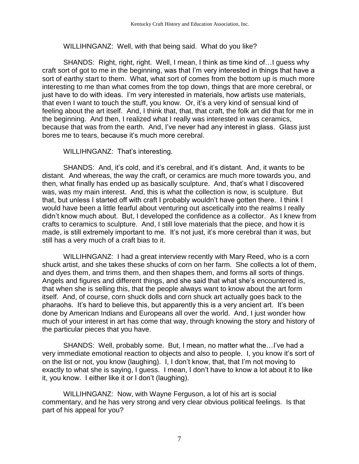WILLIHNGANZ: Well, with that being said. What do you like?

SHANDS: Right, right, right. Well, I mean, I think as time kind of…I guess why craft sort of got to me in the beginning, was that I'm very interested in things that have a sort of earthy start to them. What, what sort of comes from the bottom up is much more interesting to me than what comes from the top down, things that are more cerebral, or just have to do with ideas. I'm very interested in materials, how artists use materials, that even I want to touch the stuff, you know. Or, it's a very kind of sensual kind of feeling about the art itself. And, I think that, that, that craft, the folk art did that for me in the beginning. And then, I realized what I really was interested in was ceramics, because that was from the earth. And, I've never had any interest in glass. Glass just bores me to tears, because it's much more cerebral.

WILLIHNGANZ: That's interesting.

SHANDS: And, it's cold, and it's cerebral, and it's distant. And, it wants to be distant. And whereas, the way the craft, or ceramics are much more towards you, and then, what finally has ended up as basically sculpture. And, that's what I discovered was, was my main interest. And, this is what the collection is now, is sculpture. But that, but unless I started off with craft I probably wouldn't have gotten there. I think I would have been a little fearful about venturing out ascetically into the realms I really didn't know much about. But, I developed the confidence as a collector. As I knew from crafts to ceramics to sculpture. And, I still love materials that the piece, and how it is made, is still extremely important to me. It's not just, it's more cerebral than it was, but still has a very much of a craft bias to it.

WILLIHNGANZ: I had a great interview recently with Mary Reed, who is a corn shuck artist, and she takes these shucks of corn on her farm. She collects a lot of them, and dyes them, and trims them, and then shapes them, and forms all sorts of things. Angels and figures and different things, and she said that what she's encountered is, that when she is selling this, that the people always want to know about the art form itself. And, of course, corn shuck dolls and corn shuck art actually goes back to the pharaohs. It's hard to believe this, but apparently this is a very ancient art. It's been done by American Indians and Europeans all over the world. And, I just wonder how much of your interest in art has come that way, through knowing the story and history of the particular pieces that you have.

SHANDS: Well, probably some. But, I mean, no matter what the…I've had a very immediate emotional reaction to objects and also to people. I, you know it's sort of on the list or not, you know (laughing). I, I don't know, that, that I'm not moving to exactly to what she is saying, I guess. I mean, I don't have to know a lot about it to like it, you know. I either like it or I don't (laughing).

WILLIHNGANZ: Now, with Wayne Ferguson, a lot of his art is social commentary, and he has very strong and very clear obvious political feelings. Is that part of his appeal for you?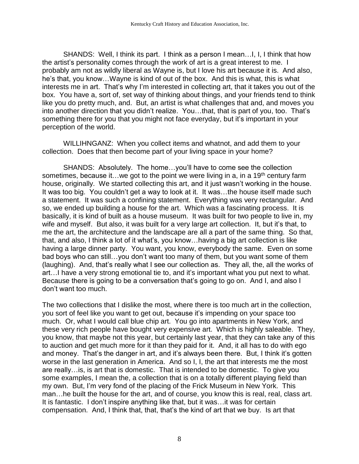SHANDS: Well, I think its part. I think as a person I mean…I, I, I think that how the artist's personality comes through the work of art is a great interest to me. I probably am not as wildly liberal as Wayne is, but I love his art because it is. And also, he's that, you know…Wayne is kind of out of the box. And this is what, this is what interests me in art. That's why I'm interested in collecting art, that it takes you out of the box. You have a, sort of, set way of thinking about things, and your friends tend to think like you do pretty much, and. But, an artist is what challenges that and, and moves you into another direction that you didn't realize. You…that, that is part of you, too. That's something there for you that you might not face everyday, but it's important in your perception of the world.

WILLIHNGANZ: When you collect items and whatnot, and add them to your collection. Does that then become part of your living space in your home?

SHANDS: Absolutely. The home…you'll have to come see the collection sometimes, because it... we got to the point we were living in a, in a 19<sup>th</sup> century farm house, originally. We started collecting this art, and it just wasn't working in the house. It was too big. You couldn't get a way to look at it. It was…the house itself made such a statement. It was such a confining statement. Everything was very rectangular. And so, we ended up building a house for the art. Which was a fascinating process. It is basically, it is kind of built as a house museum. It was built for two people to live in, my wife and myself. But also, it was built for a very large art collection. It, but it's that, to me the art, the architecture and the landscape are all a part of the same thing. So that, that, and also, I think a lot of it what's, you know…having a big art collection is like having a large dinner party. You want, you know, everybody the same. Even on some bad boys who can still…you don't want too many of them, but you want some of them (laughing). And, that's really what I see our collection as. They all, the, all the works of art…I have a very strong emotional tie to, and it's important what you put next to what. Because there is going to be a conversation that's going to go on. And I, and also I don't want too much.

The two collections that I dislike the most, where there is too much art in the collection, you sort of feel like you want to get out, because it's impending on your space too much. Or, what I would call blue chip art. You go into apartments in New York, and these very rich people have bought very expensive art. Which is highly saleable. They, you know, that maybe not this year, but certainly last year, that they can take any of this to auction and get much more for it than they paid for it. And, it all has to do with ego and money. That's the danger in art, and it's always been there. But, I think it's gotten worse in the last generation in America. And so I, I, the art that interests me the most are really…is, is art that is domestic. That is intended to be domestic. To give you some examples, I mean the, a collection that is on a totally different playing field than my own. But, I'm very fond of the placing of the Frick Museum in New York. This man…he built the house for the art, and of course, you know this is real, real, class art. It is fantastic. I don't inspire anything like that, but it was…it was for certain compensation. And, I think that, that, that's the kind of art that we buy. Is art that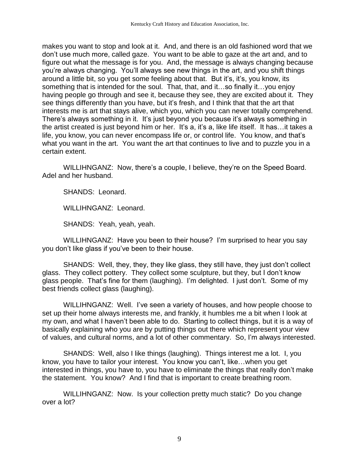makes you want to stop and look at it. And, and there is an old fashioned word that we don't use much more, called gaze. You want to be able to gaze at the art and, and to figure out what the message is for you. And, the message is always changing because you're always changing. You'll always see new things in the art, and you shift things around a little bit, so you get some feeling about that. But it's, it's, you know, its something that is intended for the soul. That, that, and it…so finally it…you enjoy having people go through and see it, because they see, they are excited about it. They see things differently than you have, but it's fresh, and I think that that the art that interests me is art that stays alive, which you, which you can never totally comprehend. There's always something in it. It's just beyond you because it's always something in the artist created is just beyond him or her. It's a, it's a, like life itself. It has…it takes a life, you know, you can never encompass life or, or control life. You know, and that's what you want in the art. You want the art that continues to live and to puzzle you in a certain extent.

WILLIHNGANZ: Now, there's a couple, I believe, they're on the Speed Board. Adel and her husband.

SHANDS: Leonard.

WILLIHNGANZ: Leonard.

SHANDS: Yeah, yeah, yeah.

WILLIHNGANZ: Have you been to their house? I'm surprised to hear you say you don't like glass if you've been to their house.

SHANDS: Well, they, they, they like glass, they still have, they just don't collect glass. They collect pottery. They collect some sculpture, but they, but I don't know glass people. That's fine for them (laughing). I'm delighted. I just don't. Some of my best friends collect glass (laughing).

WILLIHNGANZ: Well. I've seen a variety of houses, and how people choose to set up their home always interests me, and frankly, it humbles me a bit when I look at my own, and what I haven't been able to do. Starting to collect things, but it is a way of basically explaining who you are by putting things out there which represent your view of values, and cultural norms, and a lot of other commentary. So, I'm always interested.

SHANDS: Well, also I like things (laughing). Things interest me a lot. I, you know, you have to tailor your interest. You know you can't, like…when you get interested in things, you have to, you have to eliminate the things that really don't make the statement. You know? And I find that is important to create breathing room.

WILLIHNGANZ: Now. Is your collection pretty much static? Do you change over a lot?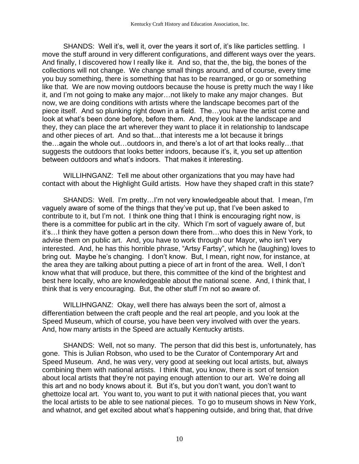SHANDS: Well it's, well it, over the years it sort of, it's like particles settling. I move the stuff around in very different configurations, and different ways over the years. And finally, I discovered how I really like it. And so, that the, the big, the bones of the collections will not change. We change small things around, and of course, every time you buy something, there is something that has to be rearranged, or go or something like that. We are now moving outdoors because the house is pretty much the way I like it, and I'm not going to make any major…not likely to make any major changes. But now, we are doing conditions with artists where the landscape becomes part of the piece itself. And so plunking right down in a field. The…you have the artist come and look at what's been done before, before them. And, they look at the landscape and they, they can place the art wherever they want to place it in relationship to landscape and other pieces of art. And so that…that interests me a lot because it brings the…again the whole out…outdoors in, and there's a lot of art that looks really…that suggests the outdoors that looks better indoors, because it's, it, you set up attention between outdoors and what's indoors. That makes it interesting.

WILLIHNGANZ: Tell me about other organizations that you may have had contact with about the Highlight Guild artists. How have they shaped craft in this state?

SHANDS: Well. I'm pretty…I'm not very knowledgeable about that. I mean, I'm vaguely aware of some of the things that they've put up, that I've been asked to contribute to it, but I'm not. I think one thing that I think is encouraging right now, is there is a committee for public art in the city. Which I'm sort of vaguely aware of, but it's…I think they have gotten a person down there from…who does this in New York, to advise them on public art. And, you have to work through our Mayor, who isn't very interested. And, he has this horrible phrase, "Artsy Fartsy", which he (laughing) loves to bring out. Maybe he's changing. I don't know. But, I mean, right now, for instance, at the area they are talking about putting a piece of art in front of the area. Well, I don't know what that will produce, but there, this committee of the kind of the brightest and best here locally, who are knowledgeable about the national scene. And, I think that, I think that is very encouraging. But, the other stuff I'm not so aware of.

WILLIHNGANZ: Okay, well there has always been the sort of, almost a differentiation between the craft people and the real art people, and you look at the Speed Museum, which of course, you have been very involved with over the years. And, how many artists in the Speed are actually Kentucky artists.

SHANDS: Well, not so many. The person that did this best is, unfortunately, has gone. This is Julian Robson, who used to be the Curator of Contemporary Art and Speed Museum. And, he was very, very good at seeking out local artists, but, always combining them with national artists. I think that, you know, there is sort of tension about local artists that they're not paying enough attention to our art. We're doing all this art and no body knows about it. But it's, but you don't want, you don't want to ghettoize local art. You want to, you want to put it with national pieces that, you want the local artists to be able to see national pieces. To go to museum shows in New York, and whatnot, and get excited about what's happening outside, and bring that, that drive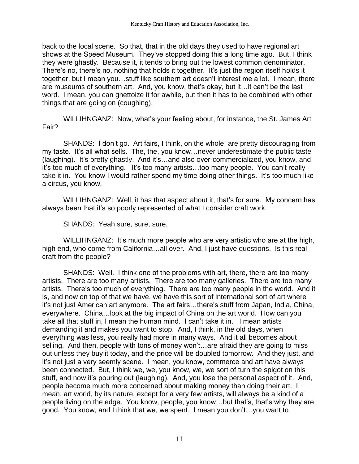back to the local scene. So that, that in the old days they used to have regional art shows at the Speed Museum. They've stopped doing this a long time ago. But, I think they were ghastly. Because it, it tends to bring out the lowest common denominator. There's no, there's no, nothing that holds it together. It's just the region itself holds it together, but I mean you…stuff like southern art doesn't interest me a lot. I mean, there are museums of southern art. And, you know, that's okay, but it…it can't be the last word. I mean, you can ghettoize it for awhile, but then it has to be combined with other things that are going on (coughing).

WILLIHNGANZ: Now, what's your feeling about, for instance, the St. James Art Fair?

SHANDS: I don't go. Art fairs, I think, on the whole, are pretty discouraging from my taste. It's all what sells. The, the, you know…never underestimate the public taste (laughing). It's pretty ghastly. And it's…and also over-commercialized, you know, and it's too much of everything. It's too many artists…too many people. You can't really take it in. You know I would rather spend my time doing other things. It's too much like a circus, you know.

WILLIHNGANZ: Well, it has that aspect about it, that's for sure. My concern has always been that it's so poorly represented of what I consider craft work.

SHANDS: Yeah sure, sure, sure.

WILLIHNGANZ: It's much more people who are very artistic who are at the high, high end, who come from California...all over. And, I just have questions. Is this real craft from the people?

SHANDS: Well. I think one of the problems with art, there, there are too many artists. There are too many artists. There are too many galleries. There are too many artists. There's too much of everything. There are too many people in the world. And it is, and now on top of that we have, we have this sort of international sort of art where it's not just American art anymore. The art fairs…there's stuff from Japan, India, China, everywhere. China…look at the big impact of China on the art world. How can you take all that stuff in, I mean the human mind. I can't take it in. I mean artists demanding it and makes you want to stop. And, I think, in the old days, when everything was less, you really had more in many ways. And it all becomes about selling. And then, people with tons of money won't…are afraid they are going to miss out unless they buy it today, and the price will be doubled tomorrow. And they just, and it's not just a very seemly scene. I mean, you know, commerce and art have always been connected. But, I think we, we, you know, we, we sort of turn the spigot on this stuff, and now it's pouring out (laughing). And, you lose the personal aspect of it. And, people become much more concerned about making money than doing their art. I mean, art world, by its nature, except for a very few artists, will always be a kind of a people living on the edge. You know, people, you know…but that's, that's why they are good. You know, and I think that we, we spent. I mean you don't…you want to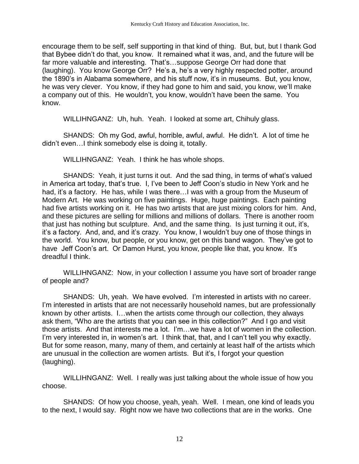encourage them to be self, self supporting in that kind of thing. But, but, but I thank God that Bybee didn't do that, you know. It remained what it was, and, and the future will be far more valuable and interesting. That's…suppose George Orr had done that (laughing). You know George Orr? He's a, he's a very highly respected potter, around the 1890's in Alabama somewhere, and his stuff now, it's in museums. But, you know, he was very clever. You know, if they had gone to him and said, you know, we'll make a company out of this. He wouldn't, you know, wouldn't have been the same. You know.

WILLIHNGANZ: Uh, huh. Yeah. I looked at some art, Chihuly glass.

SHANDS: Oh my God, awful, horrible, awful, awful. He didn't. A lot of time he didn't even…I think somebody else is doing it, totally.

WILLIHNGANZ: Yeah. I think he has whole shops.

SHANDS: Yeah, it just turns it out. And the sad thing, in terms of what's valued in America art today, that's true. I, I've been to Jeff Coon's studio in New York and he had, it's a factory. He has, while I was there…I was with a group from the Museum of Modern Art. He was working on five paintings. Huge, huge paintings. Each painting had five artists working on it. He has two artists that are just mixing colors for him. And, and these pictures are selling for millions and millions of dollars. There is another room that just has nothing but sculpture. And, and the same thing. Is just turning it out, it's, it's a factory. And, and, and it's crazy. You know, I wouldn't buy one of those things in the world. You know, but people, or you know, get on this band wagon. They've got to have Jeff Coon's art. Or Damon Hurst, you know, people like that, you know. It's dreadful I think.

WILLIHNGANZ: Now, in your collection I assume you have sort of broader range of people and?

SHANDS: Uh, yeah. We have evolved. I'm interested in artists with no career. I'm interested in artists that are not necessarily household names, but are professionally known by other artists. I…when the artists come through our collection, they always ask them, "Who are the artists that you can see in this collection?" And I go and visit those artists. And that interests me a lot. I'm…we have a lot of women in the collection. I'm very interested in, in women's art. I think that, that, and I can't tell you why exactly. But for some reason, many, many of them, and certainly at least half of the artists which are unusual in the collection are women artists. But it's, I forgot your question (laughing).

WILLIHNGANZ: Well. I really was just talking about the whole issue of how you choose.

SHANDS: Of how you choose, yeah, yeah. Well. I mean, one kind of leads you to the next, I would say. Right now we have two collections that are in the works. One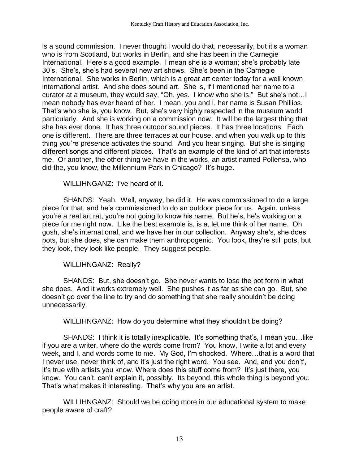is a sound commission. I never thought I would do that, necessarily, but it's a woman who is from Scotland, but works in Berlin, and she has been in the Carnegie International. Here's a good example. I mean she is a woman; she's probably late 30's. She's, she's had several new art shows. She's been in the Carnegie International. She works in Berlin, which is a great art center today for a well known international artist. And she does sound art. She is, if I mentioned her name to a curator at a museum, they would say, "Oh, yes. I know who she is." But she's not…I mean nobody has ever heard of her. I mean, you and I, her name is Susan Phillips. That's who she is, you know. But, she's very highly respected in the museum world particularly. And she is working on a commission now. It will be the largest thing that she has ever done. It has three outdoor sound pieces. It has three locations. Each one is different. There are three terraces at our house, and when you walk up to this thing you're presence activates the sound. And you hear singing. But she is singing different songs and different places. That's an example of the kind of art that interests me. Or another, the other thing we have in the works, an artist named Pollensa, who did the, you know, the Millennium Park in Chicago? It's huge.

WILLIHNGANZ: I've heard of it.

SHANDS: Yeah. Well, anyway, he did it. He was commissioned to do a large piece for that, and he's commissioned to do an outdoor piece for us. Again, unless you're a real art rat, you're not going to know his name. But he's, he's working on a piece for me right now. Like the best example is, is a, let me think of her name. Oh gosh, she's international, and we have her in our collection. Anyway she's, she does pots, but she does, she can make them anthropogenic. You look, they're still pots, but they look, they look like people. They suggest people.

## WILLIHNGANZ: Really?

SHANDS: But, she doesn't go. She never wants to lose the pot form in what she does. And it works extremely well. She pushes it as far as she can go. But, she doesn't go over the line to try and do something that she really shouldn't be doing unnecessarily.

WILLIHNGANZ: How do you determine what they shouldn't be doing?

SHANDS: I think it is totally inexplicable. It's something that's, I mean you…like if you are a writer, where do the words come from? You know, I write a lot and every week, and I, and words come to me. My God, I'm shocked. Where…that is a word that I never use, never think of, and it's just the right word. You see. And, and you don't', it's true with artists you know. Where does this stuff come from? It's just there, you know. You can't, can't explain it, possibly. Its beyond, this whole thing is beyond you. That's what makes it interesting. That's why you are an artist.

WILLIHNGANZ: Should we be doing more in our educational system to make people aware of craft?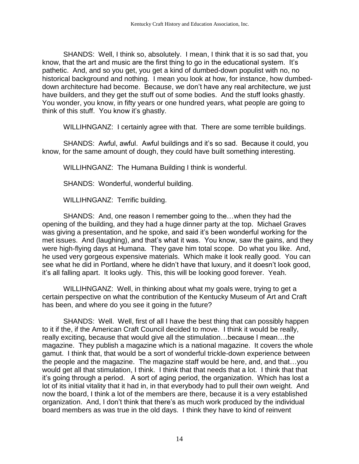SHANDS: Well, I think so, absolutely. I mean, I think that it is so sad that, you know, that the art and music are the first thing to go in the educational system. It's pathetic. And, and so you get, you get a kind of dumbed-down populist with no, no historical background and nothing. I mean you look at how, for instance, how dumbeddown architecture had become. Because, we don't have any real architecture, we just have builders, and they get the stuff out of some bodies. And the stuff looks ghastly. You wonder, you know, in fifty years or one hundred years, what people are going to think of this stuff. You know it's ghastly.

WILLIHNGANZ: I certainly agree with that. There are some terrible buildings.

SHANDS: Awful, awful. Awful buildings and it's so sad. Because it could, you know, for the same amount of dough, they could have built something interesting.

WILLIHNGANZ: The Humana Building I think is wonderful.

SHANDS: Wonderful, wonderful building.

WILLIHNGANZ: Terrific building.

SHANDS: And, one reason I remember going to the…when they had the opening of the building, and they had a huge dinner party at the top. Michael Graves was giving a presentation, and he spoke, and said it's been wonderful working for the met issues. And (laughing), and that's what it was. You know, saw the gains, and they were high-flying days at Humana. They gave him total scope. Do what you like. And, he used very gorgeous expensive materials. Which make it look really good. You can see what he did in Portland, where he didn't have that luxury, and it doesn't look good, it's all falling apart. It looks ugly. This, this will be looking good forever. Yeah.

WILLIHNGANZ: Well, in thinking about what my goals were, trying to get a certain perspective on what the contribution of the Kentucky Museum of Art and Craft has been, and where do you see it going in the future?

SHANDS: Well. Well, first of all I have the best thing that can possibly happen to it if the, if the American Craft Council decided to move. I think it would be really, really exciting, because that would give all the stimulation…because I mean…the magazine. They publish a magazine which is a national magazine. It covers the whole gamut. I think that, that would be a sort of wonderful trickle-down experience between the people and the magazine. The magazine staff would be here, and, and that…you would get all that stimulation, I think. I think that that needs that a lot. I think that that it's going through a period. A sort of aging period, the organization. Which has lost a lot of its initial vitality that it had in, in that everybody had to pull their own weight. And now the board, I think a lot of the members are there, because it is a very established organization. And, I don't think that there's as much work produced by the individual board members as was true in the old days. I think they have to kind of reinvent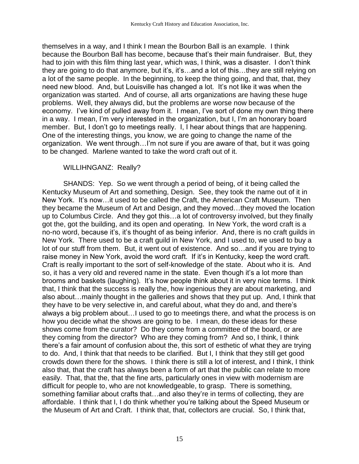themselves in a way, and I think I mean the Bourbon Ball is an example. I think because the Bourbon Ball has become, because that's their main fundraiser. But, they had to join with this film thing last year, which was, I think, was a disaster. I don't think they are going to do that anymore, but it's, it's…and a lot of this…they are still relying on a lot of the same people. In the beginning, to keep the thing going, and that, that, they need new blood. And, but Louisville has changed a lot. It's not like it was when the organization was started. And of course, all arts organizations are having these huge problems. Well, they always did, but the problems are worse now because of the economy. I've kind of pulled away from it. I mean, I've sort of done my own thing there in a way. I mean, I'm very interested in the organization, but I, I'm an honorary board member. But, I don't go to meetings really. I, I hear about things that are happening. One of the interesting things, you know, we are going to change the name of the organization. We went through…I'm not sure if you are aware of that, but it was going to be changed. Marlene wanted to take the word craft out of it.

## WILLIHNGANZ: Really?

SHANDS: Yep. So we went through a period of being, of it being called the Kentucky Museum of Art and something, Design. See, they took the name out of it in New York. It's now…it used to be called the Craft, the American Craft Museum. Then they became the Museum of Art and Design, and they moved…they moved the location up to Columbus Circle. And they got this…a lot of controversy involved, but they finally got the, got the building, and its open and operating. In New York, the word craft is a no-no word, because it's, it's thought of as being inferior. And, there is no craft guilds in New York. There used to be a craft guild in New York, and I used to, we used to buy a lot of our stuff from them. But, it went out of existence. And so…and if you are trying to raise money in New York, avoid the word craft. If it's in Kentucky, keep the word craft. Craft is really important to the sort of self-knowledge of the state. About who it is. And so, it has a very old and revered name in the state. Even though it's a lot more than brooms and baskets (laughing). It's how people think about it in very nice terms. I think that, I think that the success is really the, how ingenious they are about marketing, and also about…mainly thought in the galleries and shows that they put up. And, I think that they have to be very selective in, and careful about, what they do and, and there's always a big problem about…I used to go to meetings there, and what the process is on how you decide what the shows are going to be. I mean, do these ideas for these shows come from the curator? Do they come from a committee of the board, or are they coming from the director? Who are they coming from? And so, I think, I think there's a fair amount of confusion about the, this sort of esthetic of what they are trying to do. And, I think that that needs to be clarified. But I, I think that they still get good crowds down there for the shows. I think there is still a lot of interest, and I think, I think also that, that the craft has always been a form of art that the public can relate to more easily. That, that the, that the fine arts, particularly ones in view with modernism are difficult for people to, who are not knowledgeable, to grasp. There is something, something familiar about crafts that…and also they're in terms of collecting, they are affordable. I think that I, I do think whether you're talking about the Speed Museum or the Museum of Art and Craft. I think that, that, collectors are crucial. So, I think that,